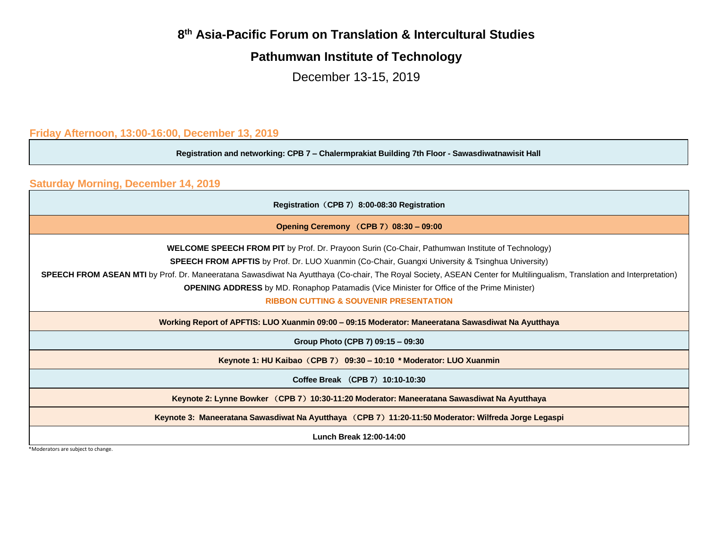## **8 th Asia-Pacific Forum on Translation & Intercultural Studies**

## **Pathumwan Institute of Technology**

December 13-15, 2019

**Friday Afternoon, 13:00-16:00, December 13, 2019**

**Registration and networking: CPB 7 – Chalermprakiat Building 7th Floor - Sawasdiwatnawisit Hall**

**Saturday Morning, December 14, 2019**

| Registration (CPB 7) 8:00-08:30 Registration                                                                                                                                                                                                                                       |  |  |  |  |
|------------------------------------------------------------------------------------------------------------------------------------------------------------------------------------------------------------------------------------------------------------------------------------|--|--|--|--|
| Opening Ceremony (CPB 7) 08:30 - 09:00                                                                                                                                                                                                                                             |  |  |  |  |
| <b>WELCOME SPEECH FROM PIT</b> by Prof. Dr. Prayoon Surin (Co-Chair, Pathumwan Institute of Technology)                                                                                                                                                                            |  |  |  |  |
| <b>SPEECH FROM APFTIS</b> by Prof. Dr. LUO Xuanmin (Co-Chair, Guangxi University & Tsinghua University)                                                                                                                                                                            |  |  |  |  |
| <b>SPEECH FROM ASEAN MTI</b> by Prof. Dr. Maneeratana Sawasdiwat Na Ayutthaya (Co-chair, The Royal Society, ASEAN Center for Multilingualism, Translation and Interpretation)<br><b>OPENING ADDRESS</b> by MD. Ronaphop Patamadis (Vice Minister for Office of the Prime Minister) |  |  |  |  |
| <b>RIBBON CUTTING &amp; SOUVENIR PRESENTATION</b>                                                                                                                                                                                                                                  |  |  |  |  |
| Working Report of APFTIS: LUO Xuanmin 09:00 - 09:15 Moderator: Maneeratana Sawasdiwat Na Ayutthaya                                                                                                                                                                                 |  |  |  |  |
| Group Photo (CPB 7) 09:15 - 09:30                                                                                                                                                                                                                                                  |  |  |  |  |
| Keynote 1: HU Kaibao (CPB 7) 09:30 – 10:10 * Moderator: LUO Xuanmin                                                                                                                                                                                                                |  |  |  |  |
| Coffee Break (CPB 7) 10:10-10:30                                                                                                                                                                                                                                                   |  |  |  |  |
| Keynote 2: Lynne Bowker (CPB 7) 10:30-11:20 Moderator: Maneeratana Sawasdiwat Na Ayutthaya                                                                                                                                                                                         |  |  |  |  |
| Keynote 3: Maneeratana Sawasdiwat Na Ayutthaya (CPB 7) 11:20-11:50 Moderator: Wilfreda Jorge Legaspi                                                                                                                                                                               |  |  |  |  |
| Lunch Break 12:00-14:00                                                                                                                                                                                                                                                            |  |  |  |  |

\*Moderators are subject to change.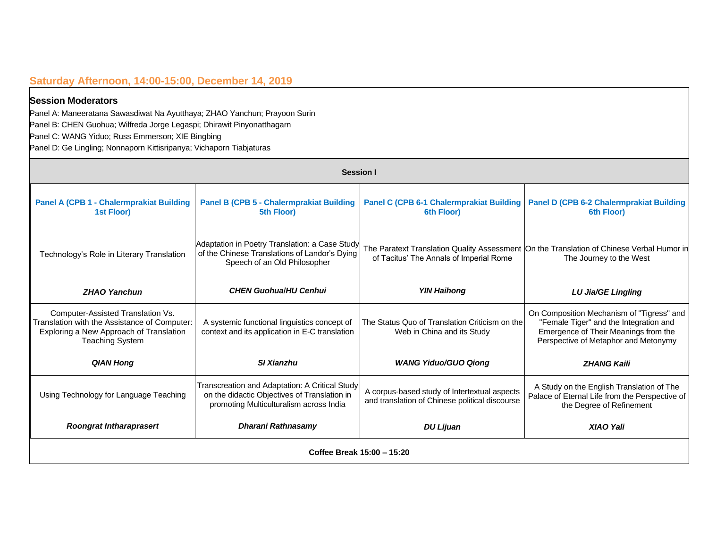### **Saturday Afternoon, 14:00-15:00, December 14, 2019**

#### **Session Moderators**

Panel A: Maneeratana Sawasdiwat Na Ayutthaya; ZHAO Yanchun; Prayoon Surin Panel B: CHEN Guohua; Wilfreda Jorge Legaspi; Dhirawit Pinyonatthagarn

Panel C: WANG Yiduo; Russ Emmerson; XIE Bingbing

Panel D: Ge Lingling; Nonnaporn Kittisripanya; Vichaporn Tiabjaturas

| <b>Session I</b>                                                                                                                                       |                                                                                                                                           |                                                                                                |                                                                                                                                                                     |  |  |  |
|--------------------------------------------------------------------------------------------------------------------------------------------------------|-------------------------------------------------------------------------------------------------------------------------------------------|------------------------------------------------------------------------------------------------|---------------------------------------------------------------------------------------------------------------------------------------------------------------------|--|--|--|
| <b>Panel A (CPB 1 - Chalermprakiat Building</b><br>1st Floor)                                                                                          | <b>Panel B (CPB 5 - Chalermprakiat Building</b><br>5th Floor)                                                                             | Panel C (CPB 6-1 Chalermprakiat Building<br>6th Floor)                                         | <b>Panel D (CPB 6-2 Chalermprakiat Building</b><br>6th Floor)                                                                                                       |  |  |  |
| Technology's Role in Literary Translation                                                                                                              | Adaptation in Poetry Translation: a Case Study<br>of the Chinese Translations of Landor's Dying<br>Speech of an Old Philosopher           | of Tacitus' The Annals of Imperial Rome                                                        | The Paratext Translation Quality Assessment On the Translation of Chinese Verbal Humor in<br>The Journey to the West                                                |  |  |  |
| <b>ZHAO Yanchun</b>                                                                                                                                    | <b>CHEN GuohualHU Cenhui</b>                                                                                                              | <b>YIN Haihong</b>                                                                             | LU Jia/GE Lingling                                                                                                                                                  |  |  |  |
| Computer-Assisted Translation Vs.<br>Translation with the Assistance of Computer:<br>Exploring a New Approach of Translation<br><b>Teaching System</b> | A systemic functional linguistics concept of<br>context and its application in E-C translation                                            | The Status Quo of Translation Criticism on the<br>Web in China and its Study                   | On Composition Mechanism of "Tigress" and<br>"Female Tiger" and the Integration and<br>Emergence of Their Meanings from the<br>Perspective of Metaphor and Metonymy |  |  |  |
| <b>QIAN Hong</b>                                                                                                                                       | <b>SI Xianzhu</b>                                                                                                                         | <b>WANG Yiduo/GUO Qiong</b>                                                                    | <b>ZHANG Kaili</b>                                                                                                                                                  |  |  |  |
| Using Technology for Language Teaching                                                                                                                 | Transcreation and Adaptation: A Critical Study<br>on the didactic Objectives of Translation in<br>promoting Multiculturalism across India | A corpus-based study of Intertextual aspects<br>and translation of Chinese political discourse | A Study on the English Translation of The<br>Palace of Eternal Life from the Perspective of<br>the Degree of Refinement                                             |  |  |  |
| <b>Roongrat Intharaprasert</b>                                                                                                                         | Dharani Rathnasamy                                                                                                                        | <b>DU Lijuan</b>                                                                               | <b>XIAO Yali</b>                                                                                                                                                    |  |  |  |
| Coffee Break 15:00 - 15:20                                                                                                                             |                                                                                                                                           |                                                                                                |                                                                                                                                                                     |  |  |  |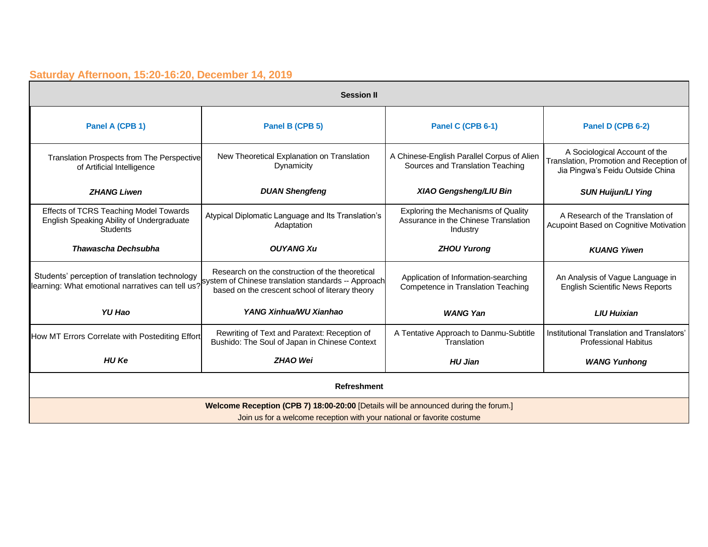## **Saturday Afternoon, 15:20-16:20, December 14, 2019**

| <b>Session II</b>                                                                                                                                             |                                                                                                                                                         |                                                                                         |                                                                                                              |  |  |
|---------------------------------------------------------------------------------------------------------------------------------------------------------------|---------------------------------------------------------------------------------------------------------------------------------------------------------|-----------------------------------------------------------------------------------------|--------------------------------------------------------------------------------------------------------------|--|--|
| Panel A (CPB 1)                                                                                                                                               | Panel B (CPB 5)                                                                                                                                         | Panel C (CPB 6-1)                                                                       | Panel D (CPB 6-2)                                                                                            |  |  |
| Translation Prospects from The Perspective<br>of Artificial Intelligence                                                                                      | New Theoretical Explanation on Translation<br>Dynamicity                                                                                                | A Chinese-English Parallel Corpus of Alien<br>Sources and Translation Teaching          | A Sociological Account of the<br>Translation, Promotion and Reception of<br>Jia Pingwa's Feidu Outside China |  |  |
| <b>ZHANG Liwen</b>                                                                                                                                            | <b>DUAN Shengfeng</b>                                                                                                                                   | <b>XIAO Gengsheng/LIU Bin</b>                                                           | <b>SUN Huijun/LI Ying</b>                                                                                    |  |  |
| Effects of TCRS Teaching Model Towards<br>English Speaking Ability of Undergraduate<br><b>Students</b>                                                        | Atypical Diplomatic Language and Its Translation's<br>Adaptation                                                                                        | Exploring the Mechanisms of Quality<br>Assurance in the Chinese Translation<br>Industry | A Research of the Translation of<br>Acupoint Based on Cognitive Motivation                                   |  |  |
| Thawascha Dechsubha                                                                                                                                           | <b>OUYANG Xu</b>                                                                                                                                        | <b>ZHOU Yurong</b>                                                                      | <b>KUANG Yiwen</b>                                                                                           |  |  |
| Students' perception of translation technology                                                                                                                | Research on the construction of the theoretical<br>learning: What emotional narratives can tell us? system of Chinese translation standards -- Approach | Application of Information-searching<br>Competence in Translation Teaching              | An Analysis of Vague Language in<br><b>English Scientific News Reports</b>                                   |  |  |
| <b>YU Hao</b>                                                                                                                                                 | YANG Xinhua/WU Xianhao                                                                                                                                  | <b>WANG Yan</b>                                                                         | <b>LIU Huixian</b>                                                                                           |  |  |
| How MT Errors Correlate with Postediting Effort                                                                                                               | Rewriting of Text and Paratext: Reception of<br>Bushido: The Soul of Japan in Chinese Context                                                           | A Tentative Approach to Danmu-Subtitle<br>Translation                                   | Institutional Translation and Translators'<br><b>Professional Habitus</b>                                    |  |  |
| <b>HU Ke</b>                                                                                                                                                  | <b>ZHAO Wei</b>                                                                                                                                         | <b>HU Jian</b>                                                                          | <b>WANG Yunhong</b>                                                                                          |  |  |
| <b>Refreshment</b>                                                                                                                                            |                                                                                                                                                         |                                                                                         |                                                                                                              |  |  |
| Welcome Reception (CPB 7) 18:00-20:00 [Details will be announced during the forum.]<br>Join us for a welcome reception with your national or favorite costume |                                                                                                                                                         |                                                                                         |                                                                                                              |  |  |